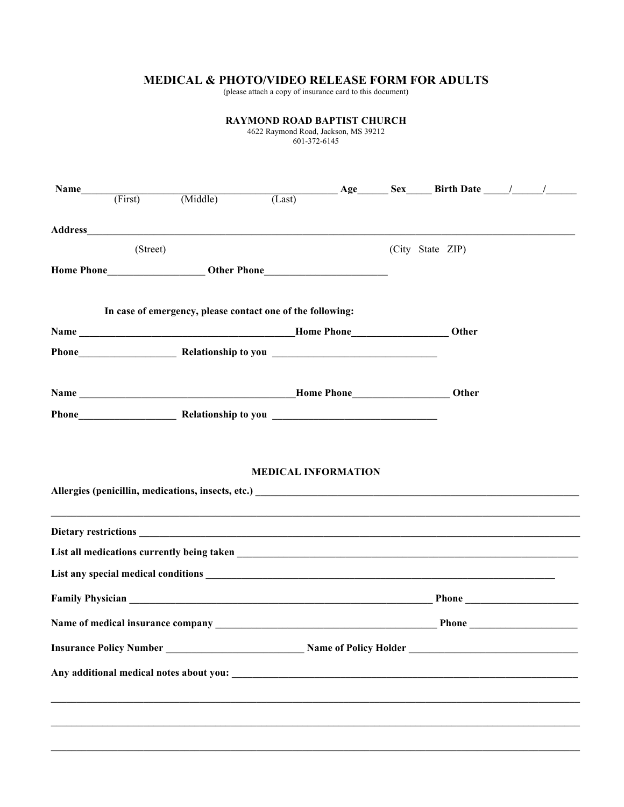## **MEDICAL & PHOTO/VIDEO RELEASE FORM FOR ADULTS**

(please attach a copy of insurance card to this document)

|          |  |                                                                                                                                                                                                                                                      | <b>RAYMOND ROAD BAPTIST CHURCH</b><br>4622 Raymond Road, Jackson, MS 39212<br>601-372-6145 |  |  |                  |  |  |
|----------|--|------------------------------------------------------------------------------------------------------------------------------------------------------------------------------------------------------------------------------------------------------|--------------------------------------------------------------------------------------------|--|--|------------------|--|--|
|          |  | Name $\qquad \qquad \text{First} \qquad \qquad \text{(Middle)} \qquad \qquad \text{(Last)}$ $\qquad \qquad \text{Age} \qquad \qquad \text{Sex} \qquad \qquad \text{Birth Date} \qquad \qquad \text{/} \qquad \qquad \text{/} \qquad \qquad \text{/}$ |                                                                                            |  |  |                  |  |  |
|          |  |                                                                                                                                                                                                                                                      |                                                                                            |  |  |                  |  |  |
| (Street) |  |                                                                                                                                                                                                                                                      |                                                                                            |  |  | (City State ZIP) |  |  |
|          |  |                                                                                                                                                                                                                                                      |                                                                                            |  |  |                  |  |  |
|          |  | In case of emergency, please contact one of the following:                                                                                                                                                                                           |                                                                                            |  |  | Other            |  |  |
|          |  |                                                                                                                                                                                                                                                      |                                                                                            |  |  |                  |  |  |
|          |  |                                                                                                                                                                                                                                                      |                                                                                            |  |  |                  |  |  |
|          |  |                                                                                                                                                                                                                                                      |                                                                                            |  |  |                  |  |  |
|          |  |                                                                                                                                                                                                                                                      | <b>MEDICAL INFORMATION</b>                                                                 |  |  |                  |  |  |
|          |  |                                                                                                                                                                                                                                                      |                                                                                            |  |  |                  |  |  |
|          |  |                                                                                                                                                                                                                                                      |                                                                                            |  |  |                  |  |  |
|          |  |                                                                                                                                                                                                                                                      |                                                                                            |  |  |                  |  |  |
|          |  |                                                                                                                                                                                                                                                      |                                                                                            |  |  |                  |  |  |
|          |  |                                                                                                                                                                                                                                                      |                                                                                            |  |  |                  |  |  |
|          |  |                                                                                                                                                                                                                                                      |                                                                                            |  |  |                  |  |  |
|          |  |                                                                                                                                                                                                                                                      |                                                                                            |  |  |                  |  |  |
|          |  |                                                                                                                                                                                                                                                      |                                                                                            |  |  |                  |  |  |
|          |  |                                                                                                                                                                                                                                                      |                                                                                            |  |  |                  |  |  |
|          |  |                                                                                                                                                                                                                                                      |                                                                                            |  |  |                  |  |  |